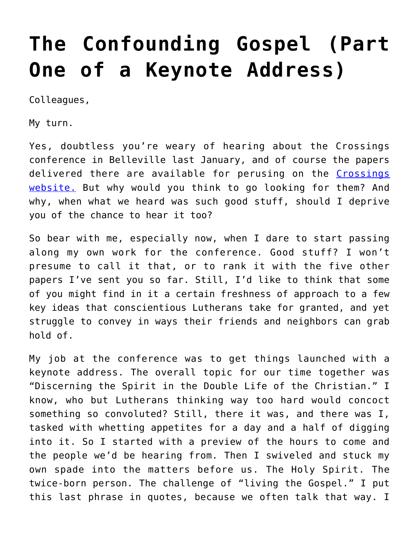# **[The Confounding Gospel \(Part](https://crossings.org/the-confounding-gospel-part-one-of-a-keynote-address/) [One of a Keynote Address\)](https://crossings.org/the-confounding-gospel-part-one-of-a-keynote-address/)**

Colleagues,

My turn.

Yes, doubtless you're weary of hearing about the Crossings conference in Belleville last January, and of course the papers delivered there are available for perusing on the [Crossings](https://crossings.org/library/conference-papers/2016-papers/) [website.](https://crossings.org/library/conference-papers/2016-papers/) But why would you think to go looking for them? And why, when what we heard was such good stuff, should I deprive you of the chance to hear it too?

So bear with me, especially now, when I dare to start passing along my own work for the conference. Good stuff? I won't presume to call it that, or to rank it with the five other papers I've sent you so far. Still, I'd like to think that some of you might find in it a certain freshness of approach to a few key ideas that conscientious Lutherans take for granted, and yet struggle to convey in ways their friends and neighbors can grab hold of.

My job at the conference was to get things launched with a keynote address. The overall topic for our time together was "Discerning the Spirit in the Double Life of the Christian." I know, who but Lutherans thinking way too hard would concoct something so convoluted? Still, there it was, and there was I, tasked with whetting appetites for a day and a half of digging into it. So I started with a preview of the hours to come and the people we'd be hearing from. Then I swiveled and stuck my own spade into the matters before us. The Holy Spirit. The twice-born person. The challenge of "living the Gospel." I put this last phrase in quotes, because we often talk that way. I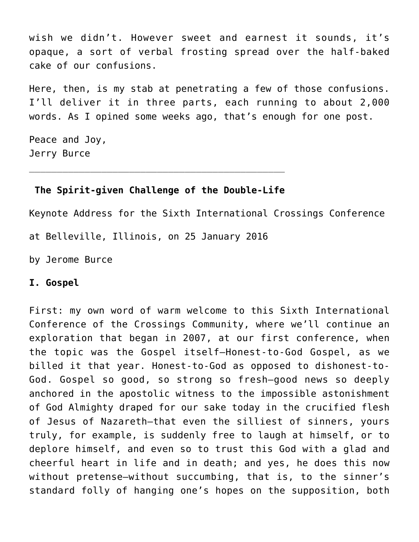wish we didn't. However sweet and earnest it sounds, it's opaque, a sort of verbal frosting spread over the half-baked cake of our confusions.

Here, then, is my stab at penetrating a few of those confusions. I'll deliver it in three parts, each running to about 2,000 words. As I opined some weeks ago, that's enough for one post.

Peace and Joy, Jerry Burce

## **The Spirit-given Challenge of the Double-Life**

\_\_\_\_\_\_\_\_\_\_\_\_\_\_\_\_\_\_\_\_\_\_\_\_\_\_\_\_\_\_\_\_\_\_\_\_\_\_\_\_\_\_\_\_\_\_

Keynote Address for the Sixth International Crossings Conference at Belleville, Illinois, on 25 January 2016

by Jerome Burce

### **I. Gospel**

First: my own word of warm welcome to this Sixth International Conference of the Crossings Community, where we'll continue an exploration that began in 2007, at our first conference, when the topic was the Gospel itself—Honest-to-God Gospel, as we billed it that year. Honest-to-God as opposed to dishonest-to-God. Gospel so good, so strong so fresh—good news so deeply anchored in the apostolic witness to the impossible astonishment of God Almighty draped for our sake today in the crucified flesh of Jesus of Nazareth—that even the silliest of sinners, yours truly, for example, is suddenly free to laugh at himself, or to deplore himself, and even so to trust this God with a glad and cheerful heart in life and in death; and yes, he does this now without pretense—without succumbing, that is, to the sinner's standard folly of hanging one's hopes on the supposition, both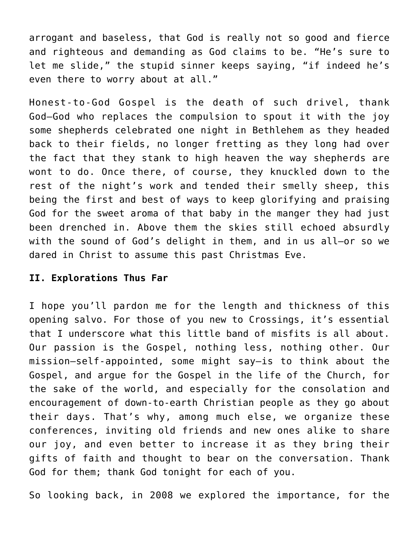arrogant and baseless, that God is really not so good and fierce and righteous and demanding as God claims to be. "He's sure to let me slide," the stupid sinner keeps saying, "if indeed he's even there to worry about at all."

Honest-to-God Gospel is the death of such drivel, thank God—God who replaces the compulsion to spout it with the joy some shepherds celebrated one night in Bethlehem as they headed back to their fields, no longer fretting as they long had over the fact that they stank to high heaven the way shepherds are wont to do. Once there, of course, they knuckled down to the rest of the night's work and tended their smelly sheep, this being the first and best of ways to keep glorifying and praising God for the sweet aroma of that baby in the manger they had just been drenched in. Above them the skies still echoed absurdly with the sound of God's delight in them, and in us all—or so we dared in Christ to assume this past Christmas Eve.

## **II. Explorations Thus Far**

I hope you'll pardon me for the length and thickness of this opening salvo. For those of you new to Crossings, it's essential that I underscore what this little band of misfits is all about. Our passion is the Gospel, nothing less, nothing other. Our mission—self-appointed, some might say—is to think about the Gospel, and argue for the Gospel in the life of the Church, for the sake of the world, and especially for the consolation and encouragement of down-to-earth Christian people as they go about their days. That's why, among much else, we organize these conferences, inviting old friends and new ones alike to share our joy, and even better to increase it as they bring their gifts of faith and thought to bear on the conversation. Thank God for them; thank God tonight for each of you.

So looking back, in 2008 we explored the importance, for the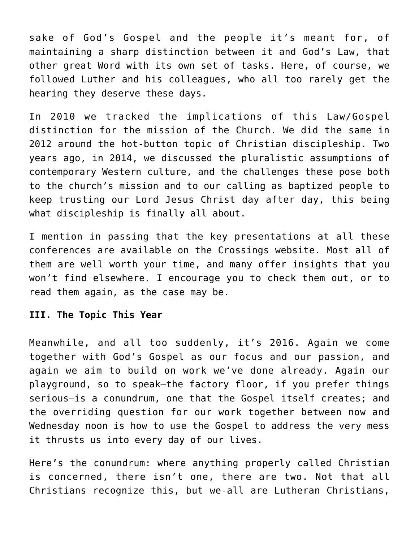sake of God's Gospel and the people it's meant for, of maintaining a sharp distinction between it and God's Law, that other great Word with its own set of tasks. Here, of course, we followed Luther and his colleagues, who all too rarely get the hearing they deserve these days.

In 2010 we tracked the implications of this Law/Gospel distinction for the mission of the Church. We did the same in 2012 around the hot-button topic of Christian discipleship. Two years ago, in 2014, we discussed the pluralistic assumptions of contemporary Western culture, and the challenges these pose both to the church's mission and to our calling as baptized people to keep trusting our Lord Jesus Christ day after day, this being what discipleship is finally all about.

I mention in passing that the key presentations at all these conferences are available on the Crossings website. Most all of them are well worth your time, and many offer insights that you won't find elsewhere. I encourage you to check them out, or to read them again, as the case may be.

## **III. The Topic This Year**

Meanwhile, and all too suddenly, it's 2016. Again we come together with God's Gospel as our focus and our passion, and again we aim to build on work we've done already. Again our playground, so to speak—the factory floor, if you prefer things serious—is a conundrum, one that the Gospel itself creates; and the overriding question for our work together between now and Wednesday noon is how to use the Gospel to address the very mess it thrusts us into every day of our lives.

Here's the conundrum: where anything properly called Christian is concerned, there isn't one, there are two. Not that all Christians recognize this, but we-all are Lutheran Christians,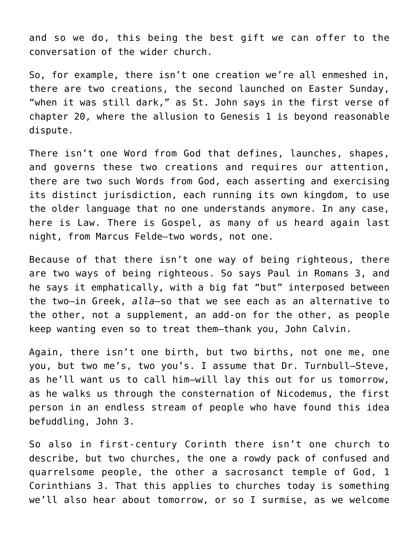and so we do, this being the best gift we can offer to the conversation of the wider church.

So, for example, there isn't one creation we're all enmeshed in, there are two creations, the second launched on Easter Sunday, "when it was still dark," as St. John says in the first verse of chapter 20, where the allusion to Genesis 1 is beyond reasonable dispute.

There isn't one Word from God that defines, launches, shapes, and governs these two creations and requires our attention, there are two such Words from God, each asserting and exercising its distinct jurisdiction, each running its own kingdom, to use the older language that no one understands anymore. In any case, here is Law. There is Gospel, as many of us heard again last night, from Marcus Felde—two words, not one.

Because of that there isn't one way of being righteous, there are two ways of being righteous. So says Paul in Romans 3, and he says it emphatically, with a big fat "but" interposed between the two—in Greek, *alla—*so that we see each as an alternative to the other, not a supplement, an add-on for the other, as people keep wanting even so to treat them—thank you, John Calvin.

Again, there isn't one birth, but two births, not one me, one you, but two me's, two you's. I assume that Dr. Turnbull—Steve, as he'll want us to call him—will lay this out for us tomorrow, as he walks us through the consternation of Nicodemus, the first person in an endless stream of people who have found this idea befuddling, John 3.

So also in first-century Corinth there isn't one church to describe, but two churches, the one a rowdy pack of confused and quarrelsome people, the other a sacrosanct temple of God, 1 Corinthians 3. That this applies to churches today is something we'll also hear about tomorrow, or so I surmise, as we welcome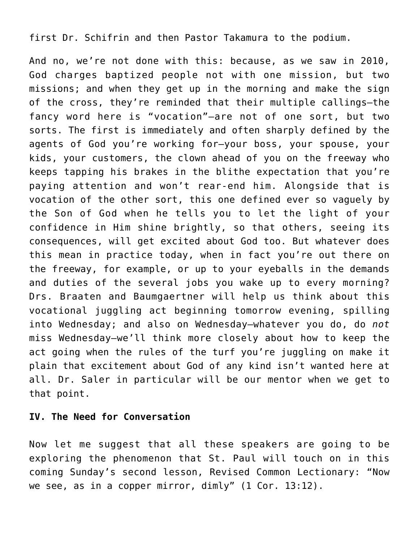### first Dr. Schifrin and then Pastor Takamura to the podium.

And no, we're not done with this: because, as we saw in 2010, God charges baptized people not with one mission, but two missions; and when they get up in the morning and make the sign of the cross, they're reminded that their multiple callings—the fancy word here is "vocation"—are not of one sort, but two sorts. The first is immediately and often sharply defined by the agents of God you're working for—your boss, your spouse, your kids, your customers, the clown ahead of you on the freeway who keeps tapping his brakes in the blithe expectation that you're paying attention and won't rear-end him. Alongside that is vocation of the other sort, this one defined ever so vaguely by the Son of God when he tells you to let the light of your confidence in Him shine brightly, so that others, seeing its consequences, will get excited about God too. But whatever does this mean in practice today, when in fact you're out there on the freeway, for example, or up to your eyeballs in the demands and duties of the several jobs you wake up to every morning? Drs. Braaten and Baumgaertner will help us think about this vocational juggling act beginning tomorrow evening, spilling into Wednesday; and also on Wednesday—whatever you do, do *not* miss Wednesday—we'll think more closely about how to keep the act going when the rules of the turf you're juggling on make it plain that excitement about God of any kind isn't wanted here at all. Dr. Saler in particular will be our mentor when we get to that point.

### **IV. The Need for Conversation**

Now let me suggest that all these speakers are going to be exploring the phenomenon that St. Paul will touch on in this coming Sunday's second lesson, Revised Common Lectionary: "Now we see, as in a copper mirror, dimly" (1 Cor. 13:12).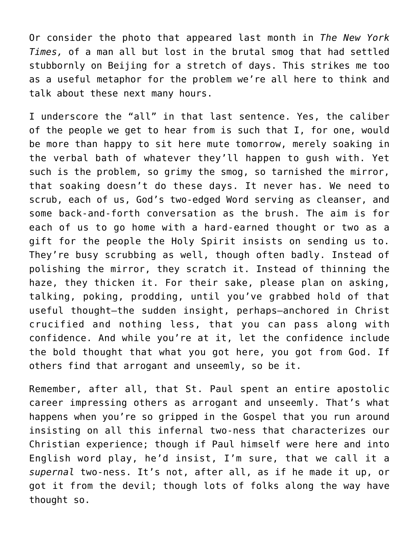Or consider the photo that appeared last month in *The New York Times,* of a man all but lost in the brutal smog that had settled stubbornly on Beijing for a stretch of days. This strikes me too as a useful metaphor for the problem we're all here to think and talk about these next many hours.

I underscore the "all" in that last sentence. Yes, the caliber of the people we get to hear from is such that I, for one, would be more than happy to sit here mute tomorrow, merely soaking in the verbal bath of whatever they'll happen to gush with. Yet such is the problem, so grimy the smog, so tarnished the mirror, that soaking doesn't do these days. It never has. We need to scrub, each of us, God's two-edged Word serving as cleanser, and some back-and-forth conversation as the brush. The aim is for each of us to go home with a hard-earned thought or two as a gift for the people the Holy Spirit insists on sending us to. They're busy scrubbing as well, though often badly. Instead of polishing the mirror, they scratch it. Instead of thinning the haze, they thicken it. For their sake, please plan on asking, talking, poking, prodding, until you've grabbed hold of that useful thought—the sudden insight, perhaps—anchored in Christ crucified and nothing less, that you can pass along with confidence. And while you're at it, let the confidence include the bold thought that what you got here, you got from God. If others find that arrogant and unseemly, so be it.

Remember, after all, that St. Paul spent an entire apostolic career impressing others as arrogant and unseemly. That's what happens when you're so gripped in the Gospel that you run around insisting on all this infernal two-ness that characterizes our Christian experience; though if Paul himself were here and into English word play, he'd insist, I'm sure, that we call it a *supernal* two-ness. It's not, after all, as if he made it up, or got it from the devil; though lots of folks along the way have thought so.